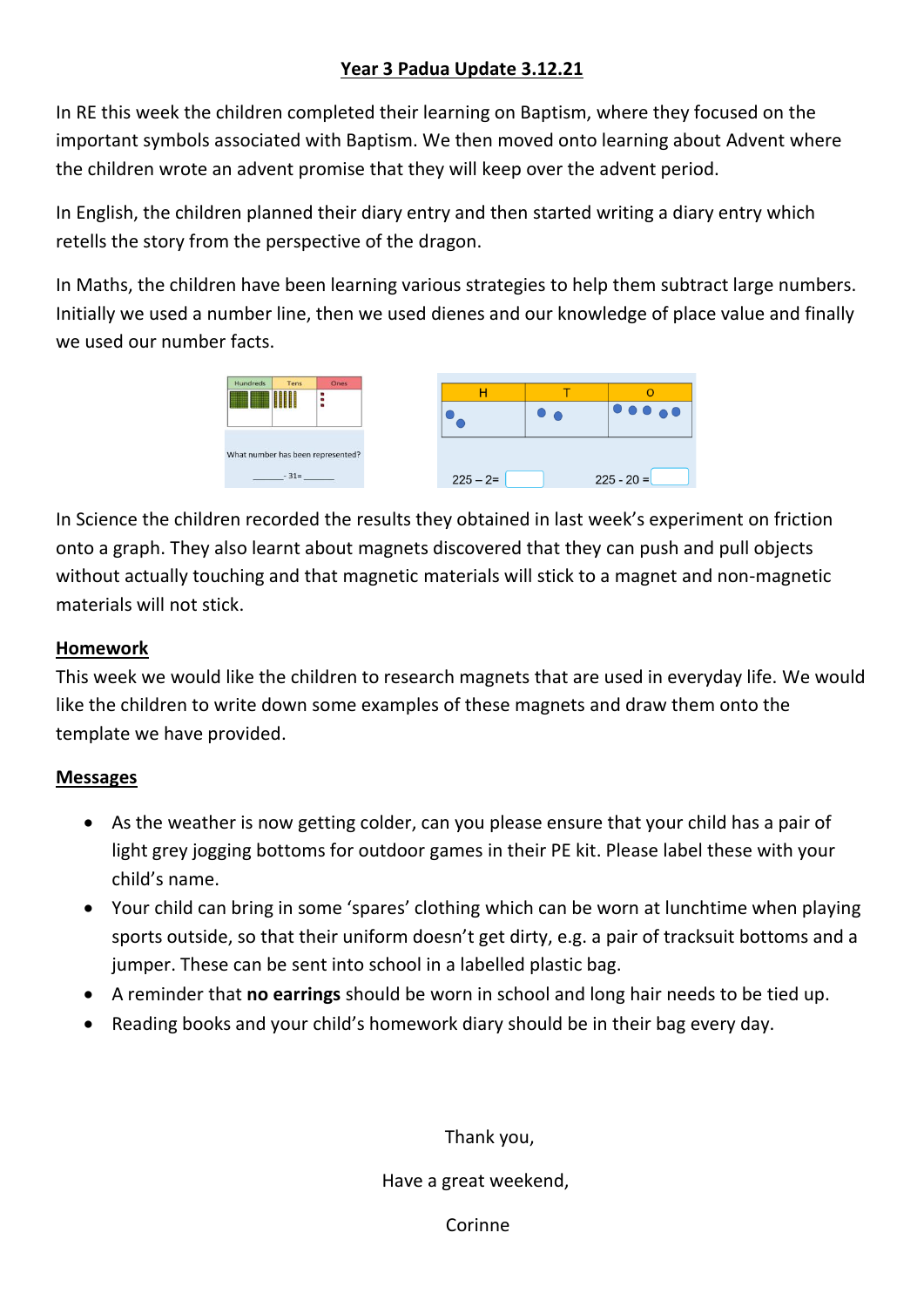### **Year 3 Padua Update 3.12.21**

In RE this week the children completed their learning on Baptism, where they focused on the important symbols associated with Baptism. We then moved onto learning about Advent where the children wrote an advent promise that they will keep over the advent period.

In English, the children planned their diary entry and then started writing a diary entry which retells the story from the perspective of the dragon.

In Maths, the children have been learning various strategies to help them subtract large numbers. Initially we used a number line, then we used dienes and our knowledge of place value and finally we used our number facts.



In Science the children recorded the results they obtained in last week's experiment on friction onto a graph. They also learnt about magnets discovered that they can push and pull objects without actually touching and that magnetic materials will stick to a magnet and non-magnetic materials will not stick.

### **Homework**

This week we would like the children to research magnets that are used in everyday life. We would like the children to write down some examples of these magnets and draw them onto the template we have provided.

#### **Messages**

- As the weather is now getting colder, can you please ensure that your child has a pair of light grey jogging bottoms for outdoor games in their PE kit. Please label these with your child's name.
- Your child can bring in some 'spares' clothing which can be worn at lunchtime when playing sports outside, so that their uniform doesn't get dirty, e.g. a pair of tracksuit bottoms and a jumper. These can be sent into school in a labelled plastic bag.
- A reminder that **no earrings** should be worn in school and long hair needs to be tied up.
- Reading books and your child's homework diary should be in their bag every day.

Thank you,

Have a great weekend,

Corinne